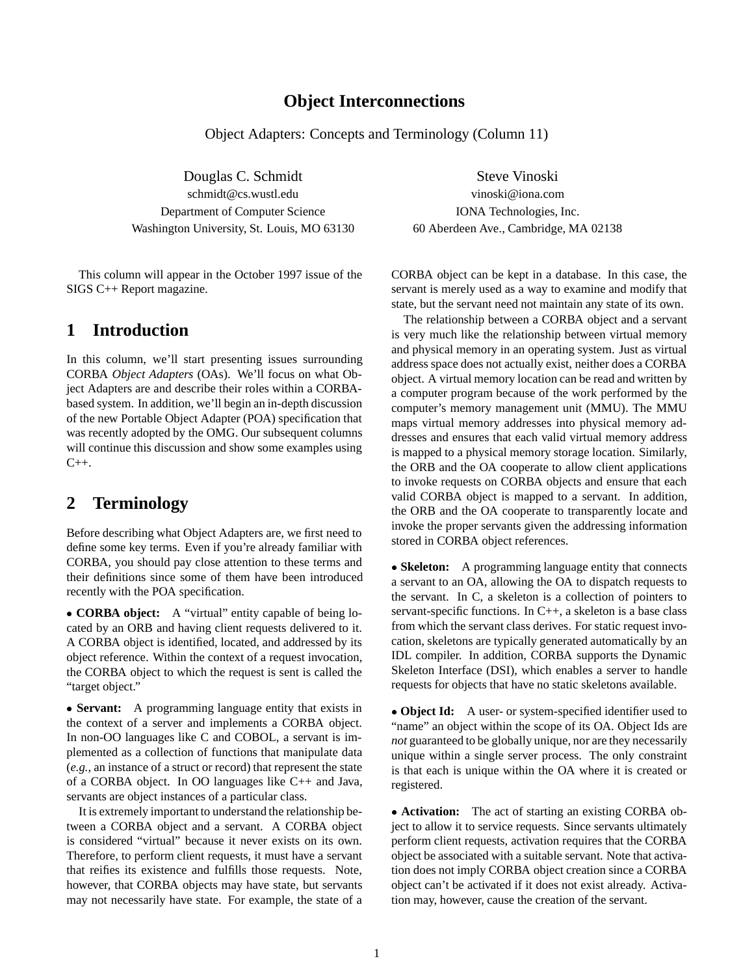# **Object Interconnections**

Object Adapters: Concepts and Terminology (Column 11)

Douglas C. Schmidt Steve Vinoski schmidt@cs.wustl.edu vinoski@iona.com Department of Computer Science IONA Technologies, Inc. Washington University, St. Louis, MO 63130 60 Aberdeen Ave., Cambridge, MA 02138

This column will appear in the October 1997 issue of the SIGS C++ Report magazine.

# **1 Introduction**

In this column, we'll start presenting issues surrounding CORBA *Object Adapters* (OAs). We'll focus on what Object Adapters are and describe their roles within a CORBAbased system. In addition, we'll begin an in-depth discussion of the new Portable Object Adapter (POA) specification that was recently adopted by the OMG. Our subsequent columns will continue this discussion and show some examples using  $C_{++}$ .

# **2 Terminology**

Before describing what Object Adapters are, we first need to define some key terms. Even if you're already familiar with CORBA, you should pay close attention to these terms and their definitions since some of them have been introduced recently with the POA specification.

 **CORBA object:** A "virtual" entity capable of being located by an ORB and having client requests delivered to it. A CORBA object is identified, located, and addressed by its object reference. Within the context of a request invocation, the CORBA object to which the request is sent is called the "target object."

• **Servant:** A programming language entity that exists in the context of a server and implements a CORBA object. In non-OO languages like C and COBOL, a servant is implemented as a collection of functions that manipulate data (*e.g.*, an instance of a struct or record) that represent the state of a CORBA object. In OO languages like C++ and Java, servants are object instances of a particular class.

It is extremely important to understand the relationship between a CORBA object and a servant. A CORBA object is considered "virtual" because it never exists on its own. Therefore, to perform client requests, it must have a servant that reifies its existence and fulfills those requests. Note, however, that CORBA objects may have state, but servants may not necessarily have state. For example, the state of a

CORBA object can be kept in a database. In this case, the servant is merely used as a way to examine and modify that state, but the servant need not maintain any state of its own.

The relationship between a CORBA object and a servant is very much like the relationship between virtual memory and physical memory in an operating system. Just as virtual address space does not actually exist, neither does a CORBA object. A virtual memory location can be read and written by a computer program because of the work performed by the computer's memory management unit (MMU). The MMU maps virtual memory addresses into physical memory addresses and ensures that each valid virtual memory address is mapped to a physical memory storage location. Similarly, the ORB and the OA cooperate to allow client applications to invoke requests on CORBA objects and ensure that each valid CORBA object is mapped to a servant. In addition, the ORB and the OA cooperate to transparently locate and invoke the proper servants given the addressing information stored in CORBA object references.

• **Skeleton:** A programming language entity that connects a servant to an OA, allowing the OA to dispatch requests to the servant. In C, a skeleton is a collection of pointers to servant-specific functions. In C++, a skeleton is a base class from which the servant class derives. For static request invocation, skeletons are typically generated automatically by an IDL compiler. In addition, CORBA supports the Dynamic Skeleton Interface (DSI), which enables a server to handle requests for objects that have no static skeletons available.

 **Object Id:** A user- or system-specified identifier used to "name" an object within the scope of its OA. Object Ids are *not* guaranteed to be globally unique, nor are they necessarily unique within a single server process. The only constraint is that each is unique within the OA where it is created or registered.

 **Activation:** The act of starting an existing CORBA object to allow it to service requests. Since servants ultimately perform client requests, activation requires that the CORBA object be associated with a suitable servant. Note that activation does not imply CORBA object creation since a CORBA object can't be activated if it does not exist already. Activation may, however, cause the creation of the servant.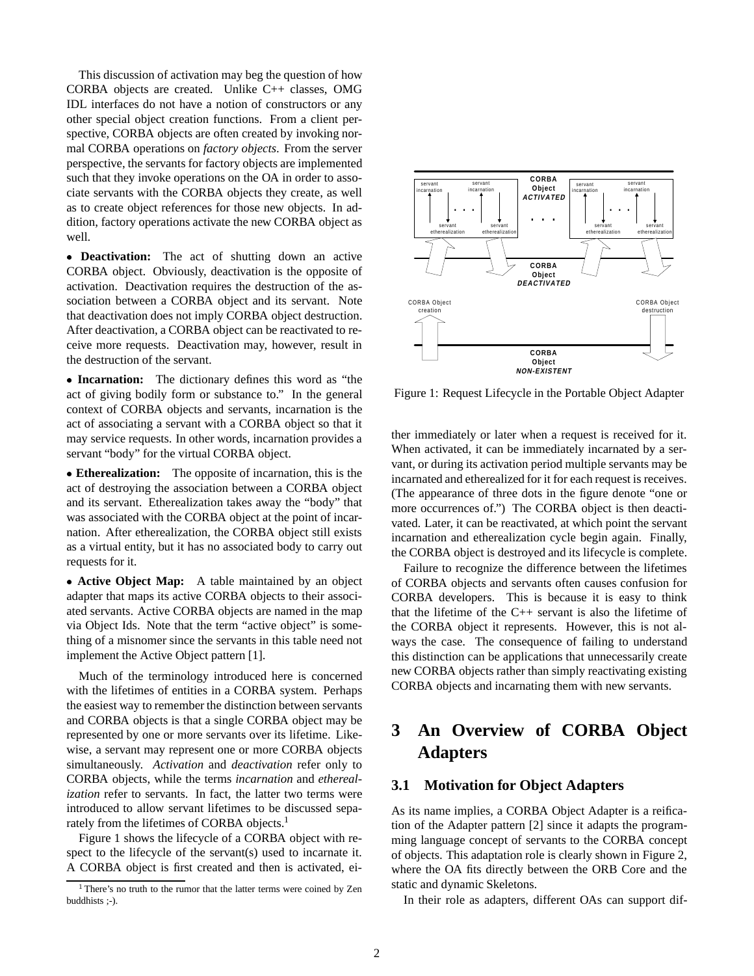This discussion of activation may beg the question of how CORBA objects are created. Unlike C++ classes, OMG IDL interfaces do not have a notion of constructors or any other special object creation functions. From a client perspective, CORBA objects are often created by invoking normal CORBA operations on *factory objects*. From the server perspective, the servants for factory objects are implemented such that they invoke operations on the OA in order to associate servants with the CORBA objects they create, as well as to create object references for those new objects. In addition, factory operations activate the new CORBA object as well.

 **Deactivation:** The act of shutting down an active CORBA object. Obviously, deactivation is the opposite of activation. Deactivation requires the destruction of the association between a CORBA object and its servant. Note that deactivation does not imply CORBA object destruction. After deactivation, a CORBA object can be reactivated to receive more requests. Deactivation may, however, result in the destruction of the servant.

 **Incarnation:** The dictionary defines this word as "the act of giving bodily form or substance to." In the general context of CORBA objects and servants, incarnation is the act of associating a servant with a CORBA object so that it may service requests. In other words, incarnation provides a servant "body" for the virtual CORBA object.

 **Etherealization:** The opposite of incarnation, this is the act of destroying the association between a CORBA object and its servant. Etherealization takes away the "body" that was associated with the CORBA object at the point of incarnation. After etherealization, the CORBA object still exists as a virtual entity, but it has no associated body to carry out requests for it.

 **Active Object Map:** A table maintained by an object adapter that maps its active CORBA objects to their associated servants. Active CORBA objects are named in the map via Object Ids. Note that the term "active object" is something of a misnomer since the servants in this table need not implement the Active Object pattern [1].

Much of the terminology introduced here is concerned with the lifetimes of entities in a CORBA system. Perhaps the easiest way to remember the distinction between servants and CORBA objects is that a single CORBA object may be represented by one or more servants over its lifetime. Likewise, a servant may represent one or more CORBA objects simultaneously. *Activation* and *deactivation* refer only to CORBA objects, while the terms *incarnation* and *etherealization* refer to servants. In fact, the latter two terms were introduced to allow servant lifetimes to be discussed separately from the lifetimes of CORBA objects.<sup>1</sup>

Figure 1 shows the lifecycle of a CORBA object with respect to the lifecycle of the servant(s) used to incarnate it. A CORBA object is first created and then is activated, ei-



Figure 1: Request Lifecycle in the Portable Object Adapter

ther immediately or later when a request is received for it. When activated, it can be immediately incarnated by a servant, or during its activation period multiple servants may be incarnated and etherealized for it for each request is receives. (The appearance of three dots in the figure denote "one or more occurrences of.") The CORBA object is then deactivated. Later, it can be reactivated, at which point the servant incarnation and etherealization cycle begin again. Finally, the CORBA object is destroyed and its lifecycle is complete.

Failure to recognize the difference between the lifetimes of CORBA objects and servants often causes confusion for CORBA developers. This is because it is easy to think that the lifetime of the C++ servant is also the lifetime of the CORBA object it represents. However, this is not always the case. The consequence of failing to understand this distinction can be applications that unnecessarily create new CORBA objects rather than simply reactivating existing CORBA objects and incarnating them with new servants.

# **3 An Overview of CORBA Object Adapters**

## **3.1 Motivation for Object Adapters**

As its name implies, a CORBA Object Adapter is a reification of the Adapter pattern [2] since it adapts the programming language concept of servants to the CORBA concept of objects. This adaptation role is clearly shown in Figure 2, where the OA fits directly between the ORB Core and the static and dynamic Skeletons.

In their role as adapters, different OAs can support dif-

<sup>&</sup>lt;sup>1</sup> There's no truth to the rumor that the latter terms were coined by Zen buddhists ;-).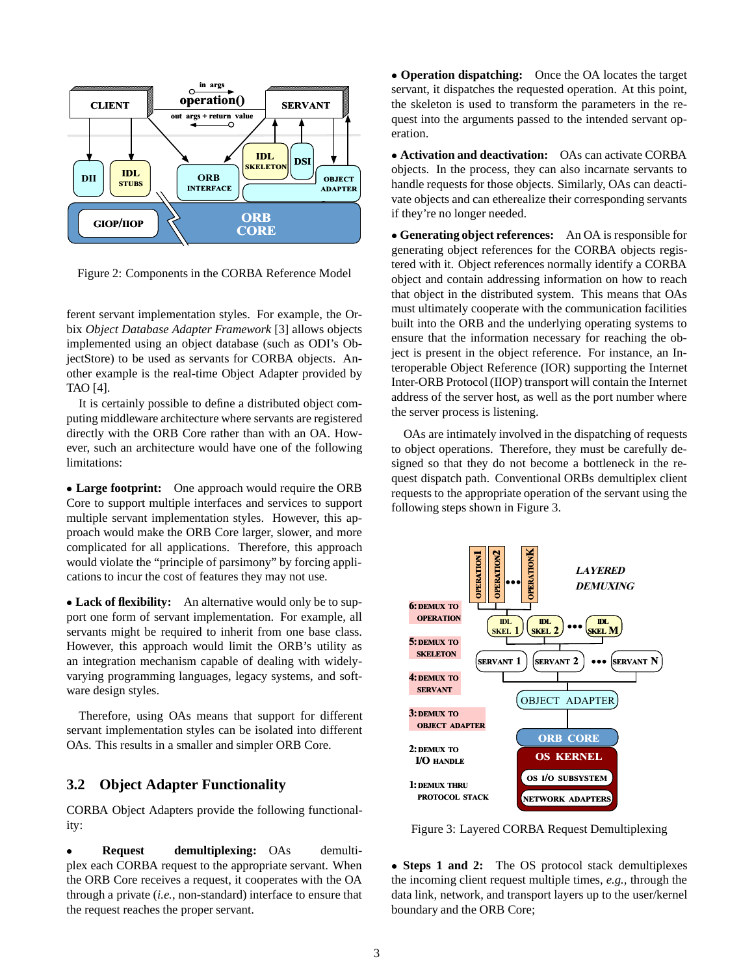

Figure 2: Components in the CORBA Reference Model

ferent servant implementation styles. For example, the Orbix *Object Database Adapter Framework* [3] allows objects implemented using an object database (such as ODI's ObjectStore) to be used as servants for CORBA objects. Another example is the real-time Object Adapter provided by TAO [4].

It is certainly possible to define a distributed object computing middleware architecture where servants are registered directly with the ORB Core rather than with an OA. However, such an architecture would have one of the following limitations:

 **Large footprint:** One approach would require the ORB Core to support multiple interfaces and services to support multiple servant implementation styles. However, this approach would make the ORB Core larger, slower, and more complicated for all applications. Therefore, this approach would violate the "principle of parsimony" by forcing applications to incur the cost of features they may not use.

 **Lack of flexibility:** An alternative would only be to support one form of servant implementation. For example, all servants might be required to inherit from one base class. However, this approach would limit the ORB's utility as an integration mechanism capable of dealing with widelyvarying programming languages, legacy systems, and software design styles.

Therefore, using OAs means that support for different servant implementation styles can be isolated into different OAs. This results in a smaller and simpler ORB Core.

### **3.2 Object Adapter Functionality**

CORBA Object Adapters provide the following functionality:

 **Request demultiplexing:** OAs demultiplex each CORBA request to the appropriate servant. When the ORB Core receives a request, it cooperates with the OA through a private (*i.e.*, non-standard) interface to ensure that the request reaches the proper servant.

 **Operation dispatching:** Once the OA locates the target servant, it dispatches the requested operation. At this point, the skeleton is used to transform the parameters in the request into the arguments passed to the intended servant operation.

 **Activation and deactivation:** OAs can activate CORBA objects. In the process, they can also incarnate servants to handle requests for those objects. Similarly, OAs can deactivate objects and can etherealize their corresponding servants if they're no longer needed.

 **Generating object references:** An OA is responsible for generating object references for the CORBA objects registered with it. Object references normally identify a CORBA object and contain addressing information on how to reach that object in the distributed system. This means that OAs must ultimately cooperate with the communication facilities built into the ORB and the underlying operating systems to ensure that the information necessary for reaching the object is present in the object reference. For instance, an Interoperable Object Reference (IOR) supporting the Internet Inter-ORB Protocol (IIOP) transport will contain the Internet address of the server host, as well as the port number where the server process is listening.

OAs are intimately involved in the dispatching of requests to object operations. Therefore, they must be carefully designed so that they do not become a bottleneck in the request dispatch path. Conventional ORBs demultiplex client requests to the appropriate operation of the servant using the following steps shown in Figure 3.



Figure 3: Layered CORBA Request Demultiplexing

 **Steps 1 and 2:** The OS protocol stack demultiplexes the incoming client request multiple times, *e.g.,* through the data link, network, and transport layers up to the user/kernel boundary and the ORB Core;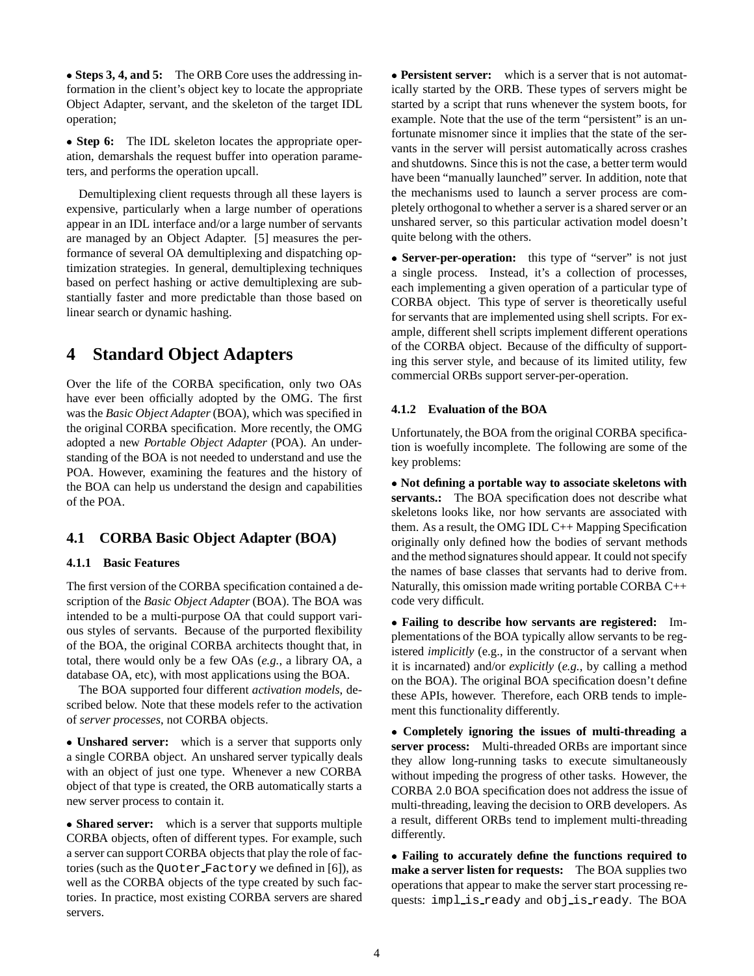**Steps 3, 4, and 5:** The ORB Core uses the addressing information in the client's object key to locate the appropriate Object Adapter, servant, and the skeleton of the target IDL operation;

• Step 6: The IDL skeleton locates the appropriate operation, demarshals the request buffer into operation parameters, and performs the operation upcall.

Demultiplexing client requests through all these layers is expensive, particularly when a large number of operations appear in an IDL interface and/or a large number of servants are managed by an Object Adapter. [5] measures the performance of several OA demultiplexing and dispatching optimization strategies. In general, demultiplexing techniques based on perfect hashing or active demultiplexing are substantially faster and more predictable than those based on linear search or dynamic hashing.

# **4 Standard Object Adapters**

Over the life of the CORBA specification, only two OAs have ever been officially adopted by the OMG. The first was the *Basic Object Adapter*(BOA), which was specified in the original CORBA specification. More recently, the OMG adopted a new *Portable Object Adapter* (POA). An understanding of the BOA is not needed to understand and use the POA. However, examining the features and the history of the BOA can help us understand the design and capabilities of the POA.

# **4.1 CORBA Basic Object Adapter (BOA)**

### **4.1.1 Basic Features**

The first version of the CORBA specification contained a description of the *Basic Object Adapter* (BOA). The BOA was intended to be a multi-purpose OA that could support various styles of servants. Because of the purported flexibility of the BOA, the original CORBA architects thought that, in total, there would only be a few OAs (*e.g.*, a library OA, a database OA, etc), with most applications using the BOA.

The BOA supported four different *activation models*, described below. Note that these models refer to the activation of *server processes*, not CORBA objects.

 **Unshared server:** which is a server that supports only a single CORBA object. An unshared server typically deals with an object of just one type. Whenever a new CORBA object of that type is created, the ORB automatically starts a new server process to contain it.

 **Shared server:** which is a server that supports multiple CORBA objects, often of different types. For example, such a server can support CORBA objects that play the role of factories (such as the Quoter Factory we defined in [6]), as well as the CORBA objects of the type created by such factories. In practice, most existing CORBA servers are shared servers.

 **Persistent server:** which is a server that is not automatically started by the ORB. These types of servers might be started by a script that runs whenever the system boots, for example. Note that the use of the term "persistent" is an unfortunate misnomer since it implies that the state of the servants in the server will persist automatically across crashes and shutdowns. Since this is not the case, a better term would have been "manually launched" server. In addition, note that the mechanisms used to launch a server process are completely orthogonal to whether a server is a shared server or an unshared server, so this particular activation model doesn't quite belong with the others.

• **Server-per-operation:** this type of "server" is not just a single process. Instead, it's a collection of processes, each implementing a given operation of a particular type of CORBA object. This type of server is theoretically useful for servants that are implemented using shell scripts. For example, different shell scripts implement different operations of the CORBA object. Because of the difficulty of supporting this server style, and because of its limited utility, few commercial ORBs support server-per-operation.

### **4.1.2 Evaluation of the BOA**

Unfortunately, the BOA from the original CORBA specification is woefully incomplete. The following are some of the key problems:

 **Not defining a portable way to associate skeletons with servants.:** The BOA specification does not describe what skeletons looks like, nor how servants are associated with them. As a result, the OMG IDL C++ Mapping Specification originally only defined how the bodies of servant methods and the method signatures should appear. It could not specify the names of base classes that servants had to derive from. Naturally, this omission made writing portable CORBA C++ code very difficult.

 **Failing to describe how servants are registered:** Implementations of the BOA typically allow servants to be registered *implicitly* (e.g., in the constructor of a servant when it is incarnated) and/or *explicitly* (*e.g.*, by calling a method on the BOA). The original BOA specification doesn't define these APIs, however. Therefore, each ORB tends to implement this functionality differently.

 **Completely ignoring the issues of multi-threading a server process:** Multi-threaded ORBs are important since they allow long-running tasks to execute simultaneously without impeding the progress of other tasks. However, the CORBA 2.0 BOA specification does not address the issue of multi-threading, leaving the decision to ORB developers. As a result, different ORBs tend to implement multi-threading differently.

 **Failing to accurately define the functions required to make a server listen for requests:** The BOA supplies two operations that appear to make the server start processing requests: impl is ready and obj is ready. The BOA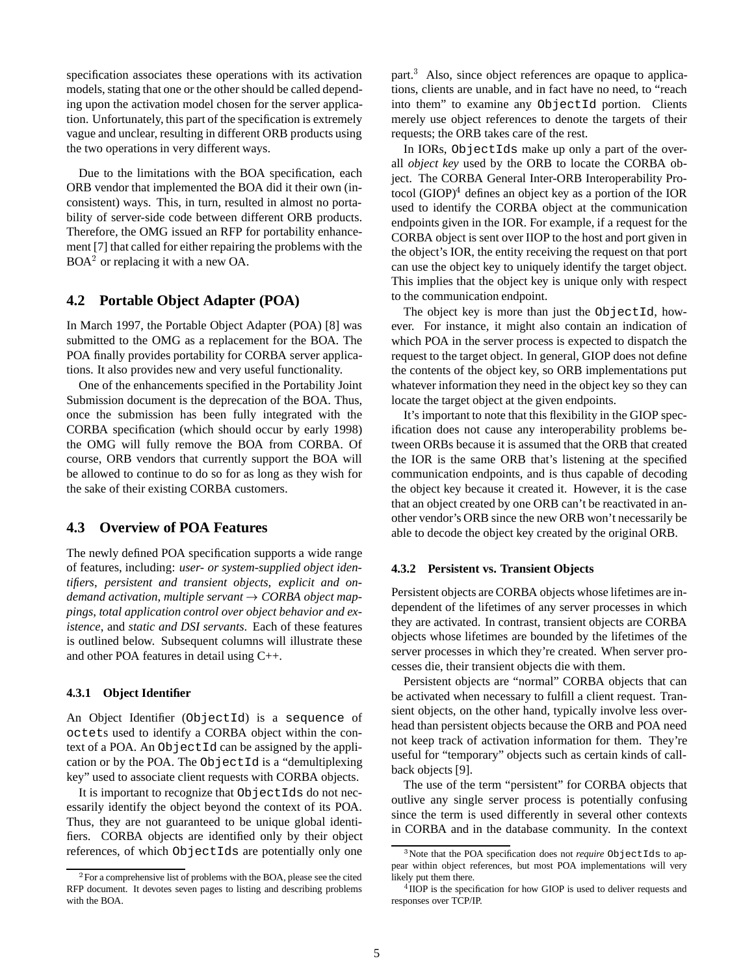specification associates these operations with its activation models, stating that one or the other should be called depending upon the activation model chosen for the server application. Unfortunately, this part of the specification is extremely vague and unclear, resulting in different ORB products using the two operations in very different ways.

Due to the limitations with the BOA specification, each ORB vendor that implemented the BOA did it their own (inconsistent) ways. This, in turn, resulted in almost no portability of server-side code between different ORB products. Therefore, the OMG issued an RFP for portability enhancement [7] that called for either repairing the problems with the  $BOA<sup>2</sup>$  or replacing it with a new OA.

### **4.2 Portable Object Adapter (POA)**

In March 1997, the Portable Object Adapter (POA) [8] was submitted to the OMG as a replacement for the BOA. The POA finally provides portability for CORBA server applications. It also provides new and very useful functionality.

One of the enhancements specified in the Portability Joint Submission document is the deprecation of the BOA. Thus, once the submission has been fully integrated with the CORBA specification (which should occur by early 1998) the OMG will fully remove the BOA from CORBA. Of course, ORB vendors that currently support the BOA will be allowed to continue to do so for as long as they wish for the sake of their existing CORBA customers.

### **4.3 Overview of POA Features**

The newly defined POA specification supports a wide range of features, including: *user- or system-supplied object identifiers*, *persistent and transient objects*, *explicit and ondemand activation, multiple servant*  $\rightarrow$  *CORBA object mappings*, *total application control over object behavior and existence*, and *static and DSI servants*. Each of these features is outlined below. Subsequent columns will illustrate these and other POA features in detail using C++.

#### **4.3.1 Object Identifier**

An Object Identifier (ObjectId) is a sequence of octets used to identify a CORBA object within the context of a POA. An ObjectId can be assigned by the application or by the POA. The ObjectId is a "demultiplexing key" used to associate client requests with CORBA objects.

It is important to recognize that ObjectIds do not necessarily identify the object beyond the context of its POA. Thus, they are not guaranteed to be unique global identifiers. CORBA objects are identified only by their object references, of which ObjectIds are potentially only one

part.<sup>3</sup> Also, since object references are opaque to applications, clients are unable, and in fact have no need, to "reach into them" to examine any ObjectId portion. Clients merely use object references to denote the targets of their requests; the ORB takes care of the rest.

In IORs, ObjectIds make up only a part of the overall *object key* used by the ORB to locate the CORBA object. The CORBA General Inter-ORB Interoperability Protocol  $(GIOP)^4$  defines an object key as a portion of the IOR used to identify the CORBA object at the communication endpoints given in the IOR. For example, if a request for the CORBA object is sent over IIOP to the host and port given in the object's IOR, the entity receiving the request on that port can use the object key to uniquely identify the target object. This implies that the object key is unique only with respect to the communication endpoint.

The object key is more than just the ObjectId, however. For instance, it might also contain an indication of which POA in the server process is expected to dispatch the request to the target object. In general, GIOP does not define the contents of the object key, so ORB implementations put whatever information they need in the object key so they can locate the target object at the given endpoints.

It's important to note that this flexibility in the GIOP specification does not cause any interoperability problems between ORBs because it is assumed that the ORB that created the IOR is the same ORB that's listening at the specified communication endpoints, and is thus capable of decoding the object key because it created it. However, it is the case that an object created by one ORB can't be reactivated in another vendor's ORB since the new ORB won't necessarily be able to decode the object key created by the original ORB.

#### **4.3.2 Persistent vs. Transient Objects**

Persistent objects are CORBA objects whose lifetimes are independent of the lifetimes of any server processes in which they are activated. In contrast, transient objects are CORBA objects whose lifetimes are bounded by the lifetimes of the server processes in which they're created. When server processes die, their transient objects die with them.

Persistent objects are "normal" CORBA objects that can be activated when necessary to fulfill a client request. Transient objects, on the other hand, typically involve less overhead than persistent objects because the ORB and POA need not keep track of activation information for them. They're useful for "temporary" objects such as certain kinds of callback objects [9].

The use of the term "persistent" for CORBA objects that outlive any single server process is potentially confusing since the term is used differently in several other contexts in CORBA and in the database community. In the context

<sup>&</sup>lt;sup>2</sup> For a comprehensive list of problems with the BOA, please see the cited RFP document. It devotes seven pages to listing and describing problems with the BOA.

<sup>3</sup> Note that the POA specification does not *require* ObjectIds to appear within object references, but most POA implementations will very likely put them there.

<sup>&</sup>lt;sup>4</sup> IIOP is the specification for how GIOP is used to deliver requests and responses over TCP/IP.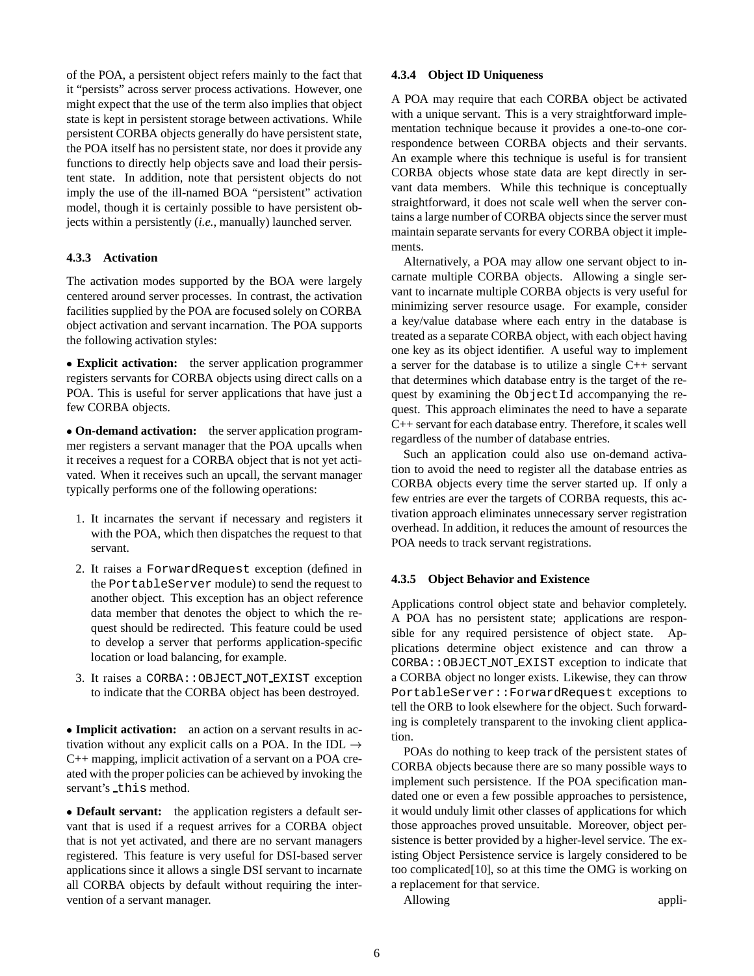of the POA, a persistent object refers mainly to the fact that it "persists" across server process activations. However, one might expect that the use of the term also implies that object state is kept in persistent storage between activations. While persistent CORBA objects generally do have persistent state, the POA itself has no persistent state, nor does it provide any functions to directly help objects save and load their persistent state. In addition, note that persistent objects do not imply the use of the ill-named BOA "persistent" activation model, though it is certainly possible to have persistent objects within a persistently (*i.e.*, manually) launched server.

### **4.3.3 Activation**

The activation modes supported by the BOA were largely centered around server processes. In contrast, the activation facilities supplied by the POA are focused solely on CORBA object activation and servant incarnation. The POA supports the following activation styles:

 **Explicit activation:** the server application programmer registers servants for CORBA objects using direct calls on a POA. This is useful for server applications that have just a few CORBA objects.

 **On-demand activation:** the server application programmer registers a servant manager that the POA upcalls when it receives a request for a CORBA object that is not yet activated. When it receives such an upcall, the servant manager typically performs one of the following operations:

- 1. It incarnates the servant if necessary and registers it with the POA, which then dispatches the request to that servant.
- 2. It raises a ForwardRequest exception (defined in the PortableServer module) to send the request to another object. This exception has an object reference data member that denotes the object to which the request should be redirected. This feature could be used to develop a server that performs application-specific location or load balancing, for example.
- 3. It raises a CORBA::OBJECT NOT EXIST exception to indicate that the CORBA object has been destroyed.

 **Implicit activation:** an action on a servant results in activation without any explicit calls on a POA. In the IDL  $\rightarrow$ C++ mapping, implicit activation of a servant on a POA created with the proper policies can be achieved by invoking the servant's this method.

 **Default servant:** the application registers a default servant that is used if a request arrives for a CORBA object that is not yet activated, and there are no servant managers registered. This feature is very useful for DSI-based server applications since it allows a single DSI servant to incarnate all CORBA objects by default without requiring the intervention of a servant manager.

#### **4.3.4 Object ID Uniqueness**

A POA may require that each CORBA object be activated with a unique servant. This is a very straightforward implementation technique because it provides a one-to-one correspondence between CORBA objects and their servants. An example where this technique is useful is for transient CORBA objects whose state data are kept directly in servant data members. While this technique is conceptually straightforward, it does not scale well when the server contains a large number of CORBA objects since the server must maintain separate servants for every CORBA object it implements.

Alternatively, a POA may allow one servant object to incarnate multiple CORBA objects. Allowing a single servant to incarnate multiple CORBA objects is very useful for minimizing server resource usage. For example, consider a key/value database where each entry in the database is treated as a separate CORBA object, with each object having one key as its object identifier. A useful way to implement a server for the database is to utilize a single C++ servant that determines which database entry is the target of the request by examining the ObjectId accompanying the request. This approach eliminates the need to have a separate C++ servant for each database entry. Therefore, it scales well regardless of the number of database entries.

Such an application could also use on-demand activation to avoid the need to register all the database entries as CORBA objects every time the server started up. If only a few entries are ever the targets of CORBA requests, this activation approach eliminates unnecessary server registration overhead. In addition, it reduces the amount of resources the POA needs to track servant registrations.

#### **4.3.5 Object Behavior and Existence**

Applications control object state and behavior completely. A POA has no persistent state; applications are responsible for any required persistence of object state. Applications determine object existence and can throw a CORBA::OBJECT NOT EXIST exception to indicate that a CORBA object no longer exists. Likewise, they can throw PortableServer::ForwardRequest exceptions to tell the ORB to look elsewhere for the object. Such forwarding is completely transparent to the invoking client application.

POAs do nothing to keep track of the persistent states of CORBA objects because there are so many possible ways to implement such persistence. If the POA specification mandated one or even a few possible approaches to persistence, it would unduly limit other classes of applications for which those approaches proved unsuitable. Moreover, object persistence is better provided by a higher-level service. The existing Object Persistence service is largely considered to be too complicated[10], so at this time the OMG is working on a replacement for that service.

Allowing appli-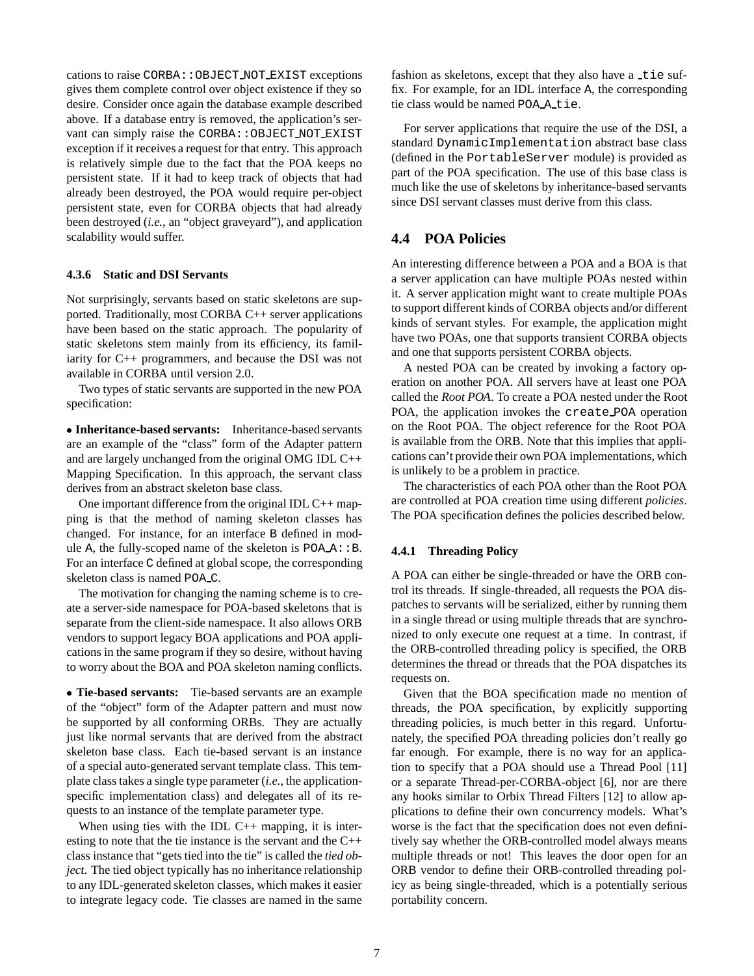cations to raise CORBA::OBJECT NOT EXIST exceptions gives them complete control over object existence if they so desire. Consider once again the database example described above. If a database entry is removed, the application's servant can simply raise the CORBA:: OBJECT\_NOT\_EXIST exception if it receives a request for that entry. This approach is relatively simple due to the fact that the POA keeps no persistent state. If it had to keep track of objects that had already been destroyed, the POA would require per-object persistent state, even for CORBA objects that had already been destroyed (*i.e.*, an "object graveyard"), and application scalability would suffer.

#### **4.3.6 Static and DSI Servants**

Not surprisingly, servants based on static skeletons are supported. Traditionally, most CORBA C++ server applications have been based on the static approach. The popularity of static skeletons stem mainly from its efficiency, its familiarity for C++ programmers, and because the DSI was not available in CORBA until version 2.0.

Two types of static servants are supported in the new POA specification:

 **Inheritance-based servants:** Inheritance-based servants are an example of the "class" form of the Adapter pattern and are largely unchanged from the original OMG IDL C++ Mapping Specification. In this approach, the servant class derives from an abstract skeleton base class.

One important difference from the original IDL C++ mapping is that the method of naming skeleton classes has changed. For instance, for an interface B defined in module A, the fully-scoped name of the skeleton is  $POA.A::B.$ For an interface C defined at global scope, the corresponding skeleton class is named POA C.

The motivation for changing the naming scheme is to create a server-side namespace for POA-based skeletons that is separate from the client-side namespace. It also allows ORB vendors to support legacy BOA applications and POA applications in the same program if they so desire, without having to worry about the BOA and POA skeleton naming conflicts.

 **Tie-based servants:** Tie-based servants are an example of the "object" form of the Adapter pattern and must now be supported by all conforming ORBs. They are actually just like normal servants that are derived from the abstract skeleton base class. Each tie-based servant is an instance of a special auto-generated servant template class. This template class takes a single type parameter (*i.e.*, the applicationspecific implementation class) and delegates all of its requests to an instance of the template parameter type.

When using ties with the IDL  $C_{++}$  mapping, it is interesting to note that the tie instance is the servant and the C++ class instance that "gets tied into the tie" is called the *tied object*. The tied object typically has no inheritance relationship to any IDL-generated skeleton classes, which makes it easier to integrate legacy code. Tie classes are named in the same

fashion as skeletons, except that they also have a tie suffix. For example, for an IDL interface A, the corresponding tie class would be named POA A tie.

For server applications that require the use of the DSI, a standard DynamicImplementation abstract base class (defined in the PortableServer module) is provided as part of the POA specification. The use of this base class is much like the use of skeletons by inheritance-based servants since DSI servant classes must derive from this class.

## **4.4 POA Policies**

An interesting difference between a POA and a BOA is that a server application can have multiple POAs nested within it. A server application might want to create multiple POAs to support different kinds of CORBA objects and/or different kinds of servant styles. For example, the application might have two POAs, one that supports transient CORBA objects and one that supports persistent CORBA objects.

A nested POA can be created by invoking a factory operation on another POA. All servers have at least one POA called the *Root POA*. To create a POA nested under the Root POA, the application invokes the create POA operation on the Root POA. The object reference for the Root POA is available from the ORB. Note that this implies that applications can't provide their own POA implementations, which is unlikely to be a problem in practice.

The characteristics of each POA other than the Root POA are controlled at POA creation time using different *policies*. The POA specification defines the policies described below.

#### **4.4.1 Threading Policy**

A POA can either be single-threaded or have the ORB control its threads. If single-threaded, all requests the POA dispatches to servants will be serialized, either by running them in a single thread or using multiple threads that are synchronized to only execute one request at a time. In contrast, if the ORB-controlled threading policy is specified, the ORB determines the thread or threads that the POA dispatches its requests on.

Given that the BOA specification made no mention of threads, the POA specification, by explicitly supporting threading policies, is much better in this regard. Unfortunately, the specified POA threading policies don't really go far enough. For example, there is no way for an application to specify that a POA should use a Thread Pool [11] or a separate Thread-per-CORBA-object [6], nor are there any hooks similar to Orbix Thread Filters [12] to allow applications to define their own concurrency models. What's worse is the fact that the specification does not even definitively say whether the ORB-controlled model always means multiple threads or not! This leaves the door open for an ORB vendor to define their ORB-controlled threading policy as being single-threaded, which is a potentially serious portability concern.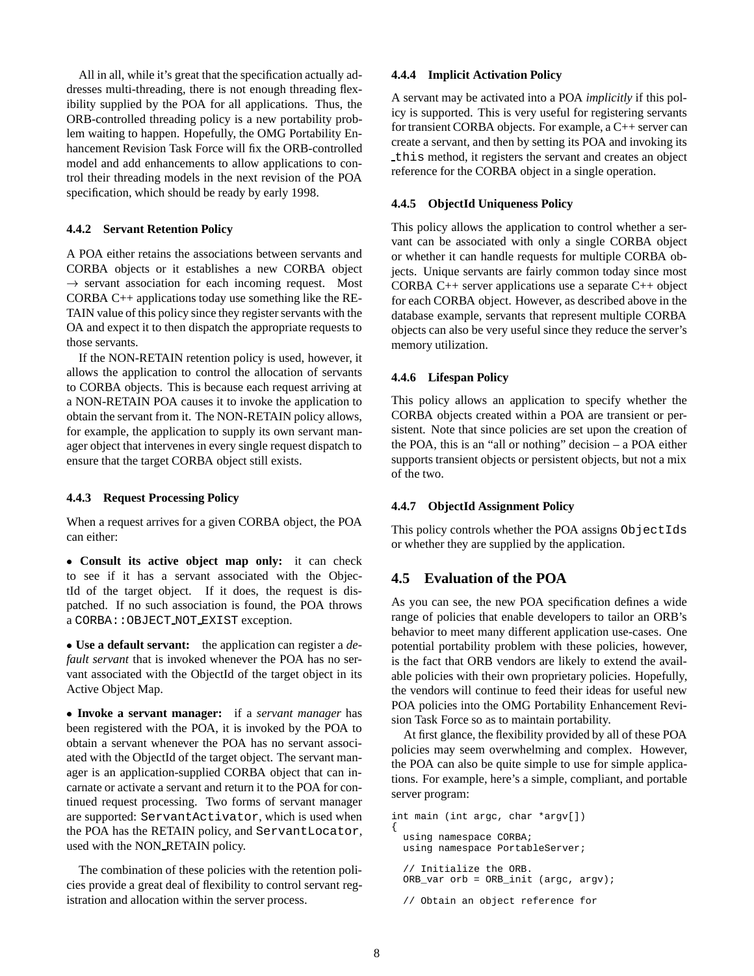All in all, while it's great that the specification actually addresses multi-threading, there is not enough threading flexibility supplied by the POA for all applications. Thus, the ORB-controlled threading policy is a new portability problem waiting to happen. Hopefully, the OMG Portability Enhancement Revision Task Force will fix the ORB-controlled model and add enhancements to allow applications to control their threading models in the next revision of the POA specification, which should be ready by early 1998.

#### **4.4.2 Servant Retention Policy**

A POA either retains the associations between servants and CORBA objects or it establishes a new CORBA object  $\rightarrow$  servant association for each incoming request. Most CORBA C++ applications today use something like the RE-TAIN value of this policy since they register servants with the OA and expect it to then dispatch the appropriate requests to those servants.

If the NON-RETAIN retention policy is used, however, it allows the application to control the allocation of servants to CORBA objects. This is because each request arriving at a NON-RETAIN POA causes it to invoke the application to obtain the servant from it. The NON-RETAIN policy allows, for example, the application to supply its own servant manager object that intervenes in every single request dispatch to ensure that the target CORBA object still exists.

#### **4.4.3 Request Processing Policy**

When a request arrives for a given CORBA object, the POA can either:

 **Consult its active object map only:** it can check to see if it has a servant associated with the ObjectId of the target object. If it does, the request is dispatched. If no such association is found, the POA throws a CORBA::OBJECT NOT EXIST exception.

 **Use a default servant:** the application can register a *default servant* that is invoked whenever the POA has no servant associated with the ObjectId of the target object in its Active Object Map.

 **Invoke a servant manager:** if a *servant manager* has been registered with the POA, it is invoked by the POA to obtain a servant whenever the POA has no servant associated with the ObjectId of the target object. The servant manager is an application-supplied CORBA object that can incarnate or activate a servant and return it to the POA for continued request processing. Two forms of servant manager are supported: ServantActivator, which is used when the POA has the RETAIN policy, and ServantLocator, used with the NON RETAIN policy.

The combination of these policies with the retention policies provide a great deal of flexibility to control servant registration and allocation within the server process.

#### **4.4.4 Implicit Activation Policy**

A servant may be activated into a POA *implicitly* if this policy is supported. This is very useful for registering servants for transient CORBA objects. For example, a C++ server can create a servant, and then by setting its POA and invoking its this method, it registers the servant and creates an object reference for the CORBA object in a single operation.

### **4.4.5 ObjectId Uniqueness Policy**

This policy allows the application to control whether a servant can be associated with only a single CORBA object or whether it can handle requests for multiple CORBA objects. Unique servants are fairly common today since most CORBA C++ server applications use a separate C++ object for each CORBA object. However, as described above in the database example, servants that represent multiple CORBA objects can also be very useful since they reduce the server's memory utilization.

### **4.4.6 Lifespan Policy**

This policy allows an application to specify whether the CORBA objects created within a POA are transient or persistent. Note that since policies are set upon the creation of the POA, this is an "all or nothing" decision – a POA either supports transient objects or persistent objects, but not a mix of the two.

#### **4.4.7 ObjectId Assignment Policy**

This policy controls whether the POA assigns ObjectIds or whether they are supplied by the application.

## **4.5 Evaluation of the POA**

As you can see, the new POA specification defines a wide range of policies that enable developers to tailor an ORB's behavior to meet many different application use-cases. One potential portability problem with these policies, however, is the fact that ORB vendors are likely to extend the available policies with their own proprietary policies. Hopefully, the vendors will continue to feed their ideas for useful new POA policies into the OMG Portability Enhancement Revision Task Force so as to maintain portability.

At first glance, the flexibility provided by all of these POA policies may seem overwhelming and complex. However, the POA can also be quite simple to use for simple applications. For example, here's a simple, compliant, and portable server program:

```
int main (int argc, char *argv[])
{
 using namespace CORBA;
 using namespace PortableServer;
  // Initialize the ORB.
 ORB_var orb = ORB_init (argc, argv);
 // Obtain an object reference for
```